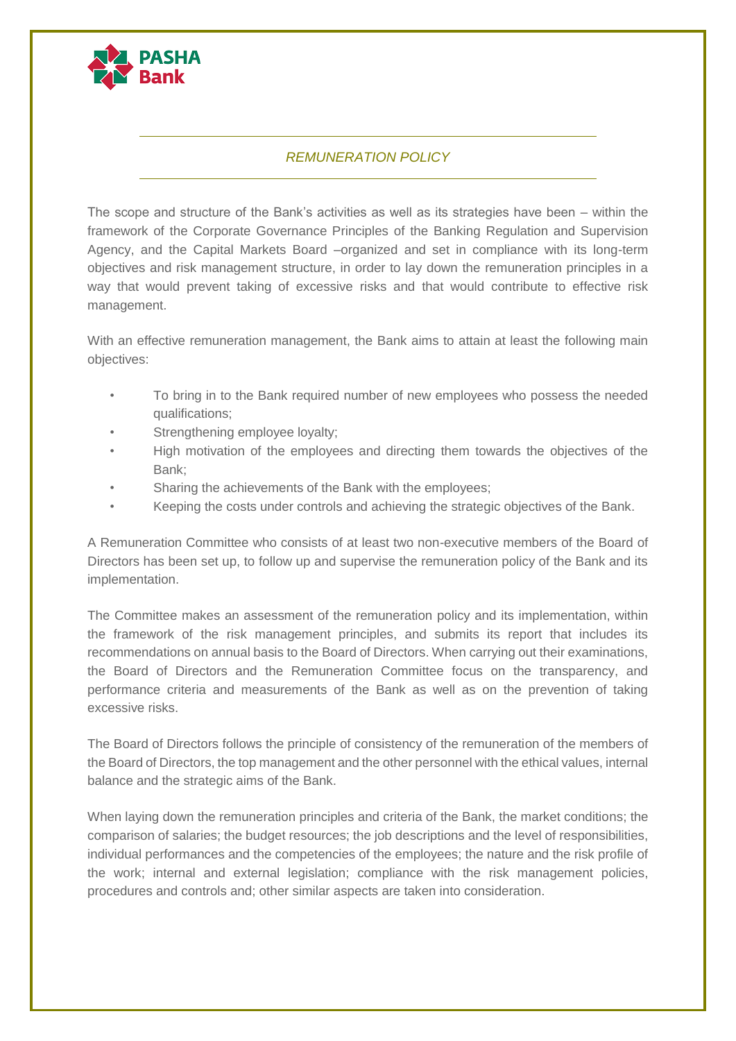

## *REMUNERATION POLICY*

The scope and structure of the Bank's activities as well as its strategies have been – within the framework of the Corporate Governance Principles of the Banking Regulation and Supervision Agency, and the Capital Markets Board –organized and set in compliance with its long-term objectives and risk management structure, in order to lay down the remuneration principles in a way that would prevent taking of excessive risks and that would contribute to effective risk management.

With an effective remuneration management, the Bank aims to attain at least the following main objectives:

- To bring in to the Bank required number of new employees who possess the needed qualifications;
- Strengthening employee loyalty:
- High motivation of the employees and directing them towards the objectives of the Bank;
- Sharing the achievements of the Bank with the employees;
- Keeping the costs under controls and achieving the strategic objectives of the Bank.

A Remuneration Committee who consists of at least two non-executive members of the Board of Directors has been set up, to follow up and supervise the remuneration policy of the Bank and its implementation.

The Committee makes an assessment of the remuneration policy and its implementation, within the framework of the risk management principles, and submits its report that includes its recommendations on annual basis to the Board of Directors. When carrying out their examinations, the Board of Directors and the Remuneration Committee focus on the transparency, and performance criteria and measurements of the Bank as well as on the prevention of taking excessive risks.

The Board of Directors follows the principle of consistency of the remuneration of the members of the Board of Directors, the top management and the other personnel with the ethical values, internal balance and the strategic aims of the Bank.

When laying down the remuneration principles and criteria of the Bank, the market conditions; the comparison of salaries; the budget resources; the job descriptions and the level of responsibilities, individual performances and the competencies of the employees; the nature and the risk profile of the work; internal and external legislation; compliance with the risk management policies, procedures and controls and; other similar aspects are taken into consideration.